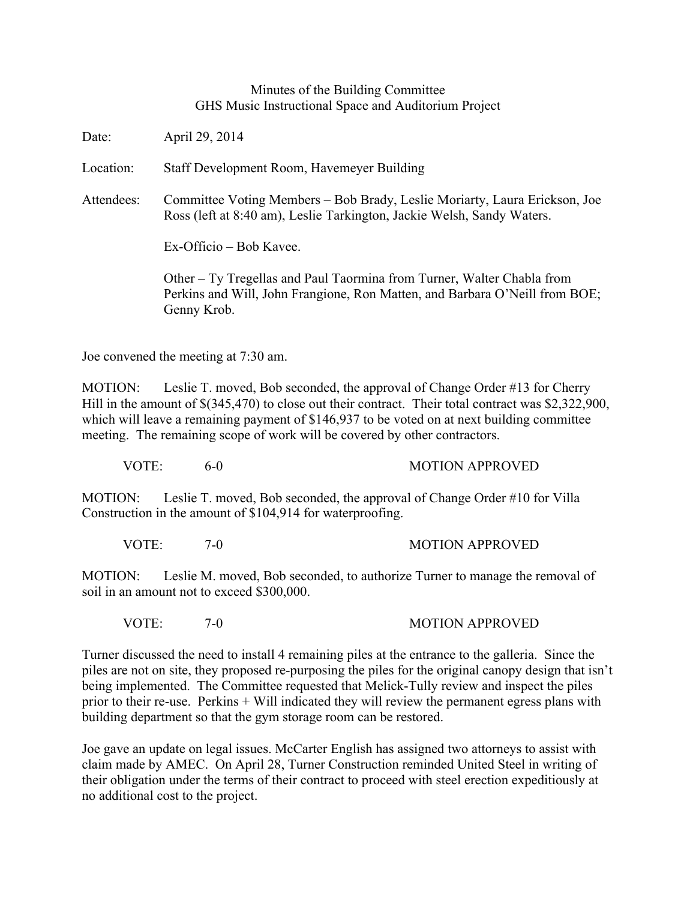## Minutes of the Building Committee GHS Music Instructional Space and Auditorium Project

Date: April 29, 2014

Location: Staff Development Room, Havemeyer Building

Attendees: Committee Voting Members – Bob Brady, Leslie Moriarty, Laura Erickson, Joe Ross (left at 8:40 am), Leslie Tarkington, Jackie Welsh, Sandy Waters.

Ex-Officio – Bob Kavee.

Other – Ty Tregellas and Paul Taormina from Turner, Walter Chabla from Perkins and Will, John Frangione, Ron Matten, and Barbara O'Neill from BOE; Genny Krob.

Joe convened the meeting at 7:30 am.

MOTION: Leslie T. moved, Bob seconded, the approval of Change Order #13 for Cherry Hill in the amount of  $\$(345,470)$  to close out their contract. Their total contract was  $\$2,322,900,$ which will leave a remaining payment of \$146,937 to be voted on at next building committee meeting. The remaining scope of work will be covered by other contractors.

VOTE: 6-0 MOTION APPROVED

MOTION: Leslie T. moved, Bob seconded, the approval of Change Order #10 for Villa Construction in the amount of \$104,914 for waterproofing.

VOTE: 7-0 7-0 MOTION APPROVED

MOTION: Leslie M. moved, Bob seconded, to authorize Turner to manage the removal of soil in an amount not to exceed \$300,000.

VOTE: 7-0 7-0 MOTION APPROVED

Turner discussed the need to install 4 remaining piles at the entrance to the galleria. Since the piles are not on site, they proposed re-purposing the piles for the original canopy design that isn't being implemented. The Committee requested that Melick-Tully review and inspect the piles prior to their re-use. Perkins + Will indicated they will review the permanent egress plans with building department so that the gym storage room can be restored.

Joe gave an update on legal issues. McCarter English has assigned two attorneys to assist with claim made by AMEC. On April 28, Turner Construction reminded United Steel in writing of their obligation under the terms of their contract to proceed with steel erection expeditiously at no additional cost to the project.